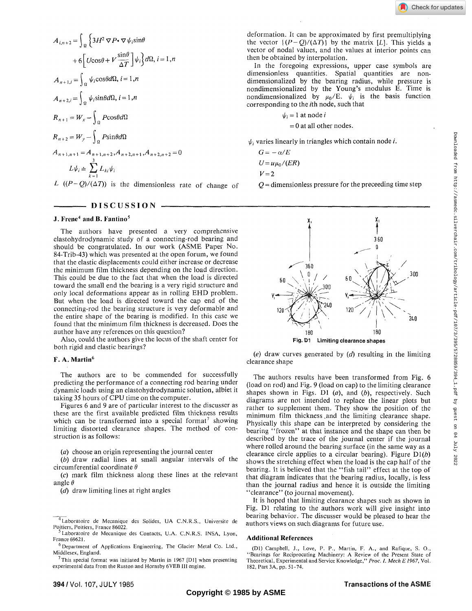$$
A_{i,n+2} = \int_{\Omega} \left\{ 3H^2 \nabla P \cdot \nabla \psi_i \sin \theta \right.+ 6 \left[ U \cos \theta + V \frac{\sin \theta}{\Delta T} \right] \psi_i \right\} d\Omega, i = 1, nA_{n+1,i} = \int_{\Omega} \psi_i \cos \theta d\Omega, i = 1, nA_{n+2,i} = \int_{\Omega} \psi_i \sin \theta d\Omega, i = 1, nR_{n+1} = W_x - \int_{\Omega} P \cos \theta d\OmegaR_{n+2} = W_y - \int_{\Omega} P \sin \theta d\OmegaA_{n+1,n+1} = A_{n+1,n+2}, A_{n+2,n+1}, A_{n+2,n+2} = 0L\psi_i = \sum_{k=1}^3 L_{ki} \psi_i
$$

*L*  $((P-Q)/(\Delta T))$  is the dimensionless rate of change of

**DISCUSSION** 

# **J. Frene<sup>4</sup> and B. Fantino<sup>5</sup>**

The authors have presented a very comprehensive elastohydrodynamic study of a connecting-rod bearing and should be congratulated. In our work (ASME Paper No. 84-Trib-43) which was presented at the open forum, we found that the elastic displacements could either increase or decrease the minimum film thickness depending on the load direction. This could be due to the fact that when the load is directed toward the small end the bearing is a very rigid structure and only local deformations appear as in rolling EHD problem. But when the load is directed toward the cap end of the connecting-rod the bearing structure is very deformable and the entire shape of the bearing is modified. In this case we found that the minimum film thickness is decreased. Does the author have any references on this question?

Also, could the authors give the locus of the shaft center for both rigid and elastic bearings?

## **F.** A. **Martin<sup>6</sup>**

The authors are to be commended for successfully predicting the performance of a connecting rod bearing under dynamic loads using an elastohydrodynamic solution, albiet it taking 35 hours of CPU time on the computer.

Figures 6 and 9 are of particular interest to the discusser as these are the first available predicted film thickness results which can be transformed into a special format<sup>7</sup> showing limiting distorted clearance shapes. The method of construction is as follows:

*(a)* choose an origin representing the journal center

*(b)* draw radial lines at small angular intervals of the circumferential coordinate *6* 

(c) mark film thickness along these lines at the relevant angle *8* 

*(d)* draw limiting lines at right angles

 $7$ This special format was initiated by Martin in 1967 [D1] when presenting experimental data from the Ruston and Hornsby 6VEB III engine.

In the foregoing expressions, upper case symbols are dimensionless quantities. Spatial quantities are nondimensionalized by the bearing radius, while pressure is nondimensionalized by the Young's modulus E. Time is nondimensionalized by  $\mu_0/E$ .  $\psi_i$  is the basis function corresponding to the *i*th node, such that

$$
\psi_i = 1 \text{ at node } i
$$
  
= 0 at all other nodes.

 $\psi_i$  varies linearly in triangles which contain node *i*.

$$
G = -\alpha/E
$$

$$
U = u\mu_0/(ER)
$$

 $V = 2$ 

*Q =* dimensionless pressure for the preceeding time step



(e) draw curves generated by *(d)* resulting in the limiting clearance shape

The authors results have been transformed from Fig. 6 (load on rod) and Fig. 9 (load on cap) to the limiting clearance shapes shown in Figs. Dl *(a),* and *(b),* respectively. Such diagrams are not intended to replace the linear plots but rather to supplement them. They show the position of the minimum film thickness .and the limiting clearance shape. Physically this shape can be interpreted by considering the bearing "frozen" at that instance and the shape can then be described by the trace of the journal center if the journal where rolled around the bearing surface (in the same way as a clearance circle applies to a circular bearing). Figure  $D1(b)$ shows the stretching effect when the load is the cap half of the bearing. It is believed that the "fish tail" effect at the top of that diagram indicates that the bearing radius, locally, is less than the journal radius and hence it is outside the limiting "clearance" (to journal movement).

It is hoped that limiting clearance shapes such as shown in Fig. Dl relating to the authors work will give insight into bearing behavior. The discusser would be pleased to hear the authors views on such diagrams for future use.

#### **Additional References**

<sup>&</sup>lt;sup>4</sup> Laboratoire de Mecanique des Solides, UA C.N.R.S., Universite de Poitiers, Poitiers, France 86022.

Laboratoire de Mecanique des Contacts, U.A. C.N.R.S. INSA, Lyon, France 69621.

<sup>&</sup>lt;sup>6</sup> Department of Applications Engineering, The Glacier Metal Co. Ltd., Middlesex, England.

<sup>(</sup>Dl) Campbell, J., Love, P. P., Martin, F. A., and Rafique, S. O., "Bearings for Reciprocating Machinery: A Review of the Present State of Theoretical, Experimental and Service Knowledge," *Proc. L Mech E1967,* Vol. 182, Part 3A, pp. 51-74.